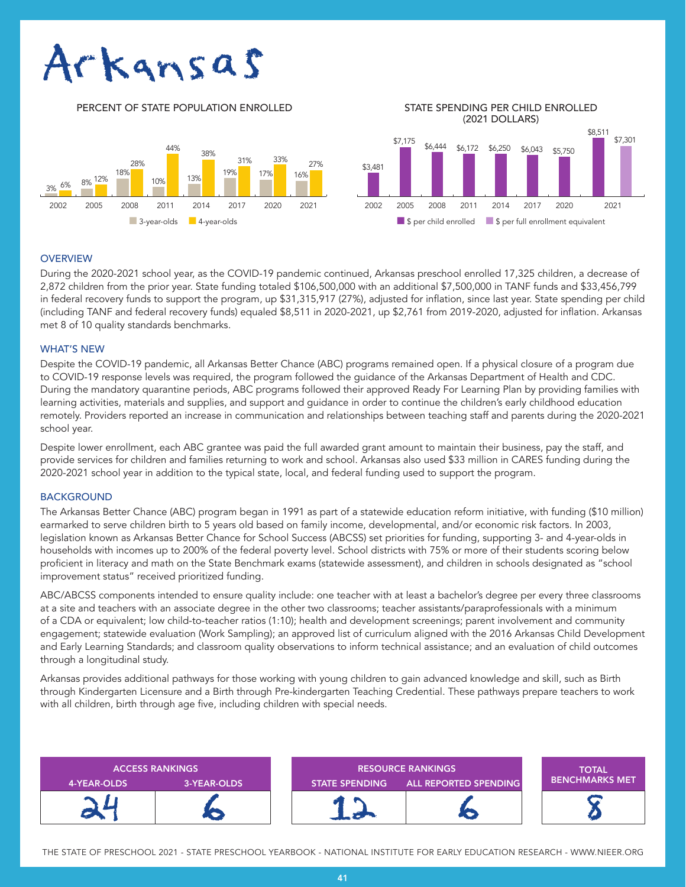# Arkansas





## **OVERVIEW**

During the 2020-2021 school year, as the COVID-19 pandemic continued, Arkansas preschool enrolled 17,325 children, a decrease of 2,872 children from the prior year. State funding totaled \$106,500,000 with an additional \$7,500,000 in TANF funds and \$33,456,799 in federal recovery funds to support the program, up \$31,315,917 (27%), adjusted for inflation, since last year. State spending per child (including TANF and federal recovery funds) equaled \$8,511 in 2020-2021, up \$2,761 from 2019-2020, adjusted for inflation. Arkansas met 8 of 10 quality standards benchmarks.

## WHAT'S NEW

Despite the COVID-19 pandemic, all Arkansas Better Chance (ABC) programs remained open. If a physical closure of a program due to COVID-19 response levels was required, the program followed the guidance of the Arkansas Department of Health and CDC. During the mandatory quarantine periods, ABC programs followed their approved Ready For Learning Plan by providing families with learning activities, materials and supplies, and support and guidance in order to continue the children's early childhood education remotely. Providers reported an increase in communication and relationships between teaching staff and parents during the 2020-2021 school year.

Despite lower enrollment, each ABC grantee was paid the full awarded grant amount to maintain their business, pay the staff, and provide services for children and families returning to work and school. Arkansas also used \$33 million in CARES funding during the 2020-2021 school year in addition to the typical state, local, and federal funding used to support the program.

## **BACKGROUND**

The Arkansas Better Chance (ABC) program began in 1991 as part of a statewide education reform initiative, with funding (\$10 million) earmarked to serve children birth to 5 years old based on family income, developmental, and/or economic risk factors. In 2003, legislation known as Arkansas Better Chance for School Success (ABCSS) set priorities for funding, supporting 3- and 4-year-olds in households with incomes up to 200% of the federal poverty level. School districts with 75% or more of their students scoring below proficient in literacy and math on the State Benchmark exams (statewide assessment), and children in schools designated as "school improvement status" received prioritized funding.

ABC/ABCSS components intended to ensure quality include: one teacher with at least a bachelor's degree per every three classrooms at a site and teachers with an associate degree in the other two classrooms; teacher assistants/paraprofessionals with a minimum of a CDA or equivalent; low child-to-teacher ratios (1:10); health and development screenings; parent involvement and community engagement; statewide evaluation (Work Sampling); an approved list of curriculum aligned with the 2016 Arkansas Child Development and Early Learning Standards; and classroom quality observations to inform technical assistance; and an evaluation of child outcomes through a longitudinal study.

Arkansas provides additional pathways for those working with young children to gain advanced knowledge and skill, such as Birth through Kindergarten Licensure and a Birth through Pre-kindergarten Teaching Credential. These pathways prepare teachers to work with all children, birth through age five, including children with special needs.



THE STATE OF PRESCHOOL 2021 - STATE PRESCHOOL YEARBOOK - NATIONAL INSTITUTE FOR EARLY EDUCATION RESEARCH - WWW.NIEER.ORG